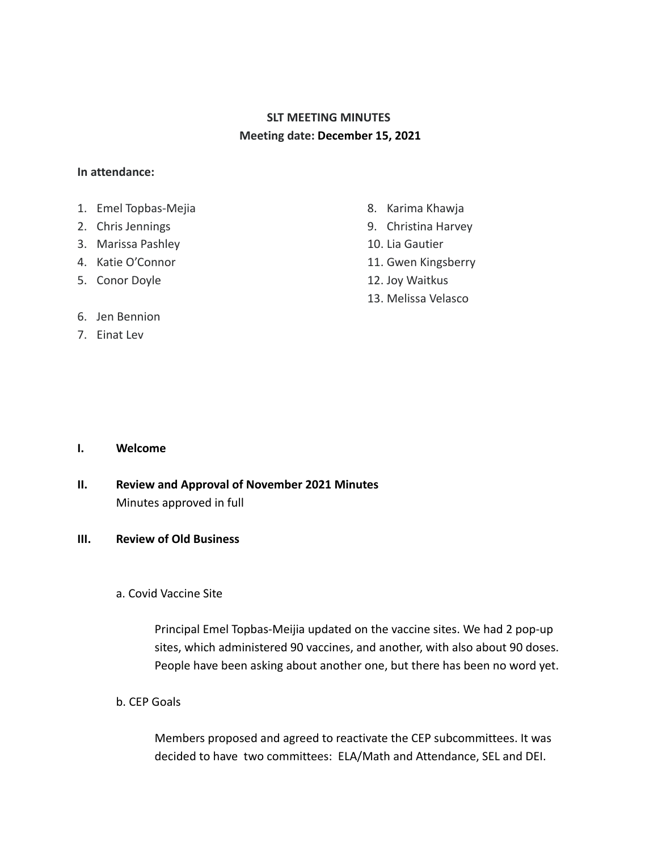# **SLT MEETING MINUTES Meeting date: December 15, 2021**

### **In attendance:**

- 1. Emel Topbas-Mejia
- 2. Chris Jennings
- 3. Marissa Pashley
- 4. Katie O'Connor
- 5. Conor Doyle
- 6. Jen Bennion
- 7. Einat Lev
- 8. Karima Khawja
- 9. Christina Harvey
- 10. Lia Gautier
- 11. Gwen Kingsberry
- 12. Joy Waitkus
- 13. Melissa Velasco

- **I. Welcome**
- **II. Review and Approval of November 2021 Minutes** Minutes approved in full

### **III. Review of Old Business**

### a. Covid Vaccine Site

Principal Emel Topbas-Meijia updated on the vaccine sites. We had 2 pop-up sites, which administered 90 vaccines, and another, with also about 90 doses. People have been asking about another one, but there has been no word yet.

b. CEP Goals

Members proposed and agreed to reactivate the CEP subcommittees. It was decided to have two committees: ELA/Math and Attendance, SEL and DEI.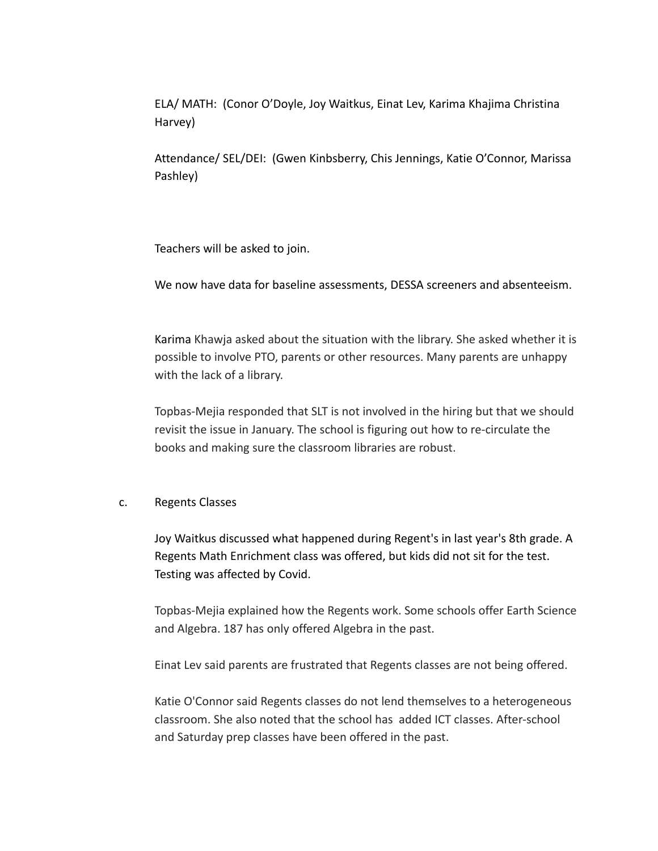ELA/ MATH: (Conor O'Doyle, Joy Waitkus, Einat Lev, Karima Khajima Christina Harvey)

Attendance/ SEL/DEI: (Gwen Kinbsberry, Chis Jennings, Katie O'Connor, Marissa Pashley)

Teachers will be asked to join.

We now have data for baseline assessments, DESSA screeners and absenteeism.

Karima Khawja asked about the situation with the library. She asked whether it is possible to involve PTO, parents or other resources. Many parents are unhappy with the lack of a library.

Topbas-Mejia responded that SLT is not involved in the hiring but that we should revisit the issue in January. The school is figuring out how to re-circulate the books and making sure the classroom libraries are robust.

### c. Regents Classes

Joy Waitkus discussed what happened during Regent's in last year's 8th grade. A Regents Math Enrichment class was offered, but kids did not sit for the test. Testing was affected by Covid.

Topbas-Mejia explained how the Regents work. Some schools offer Earth Science and Algebra. 187 has only offered Algebra in the past.

Einat Lev said parents are frustrated that Regents classes are not being offered.

Katie O'Connor said Regents classes do not lend themselves to a heterogeneous classroom. She also noted that the school has added ICT classes. After-school and Saturday prep classes have been offered in the past.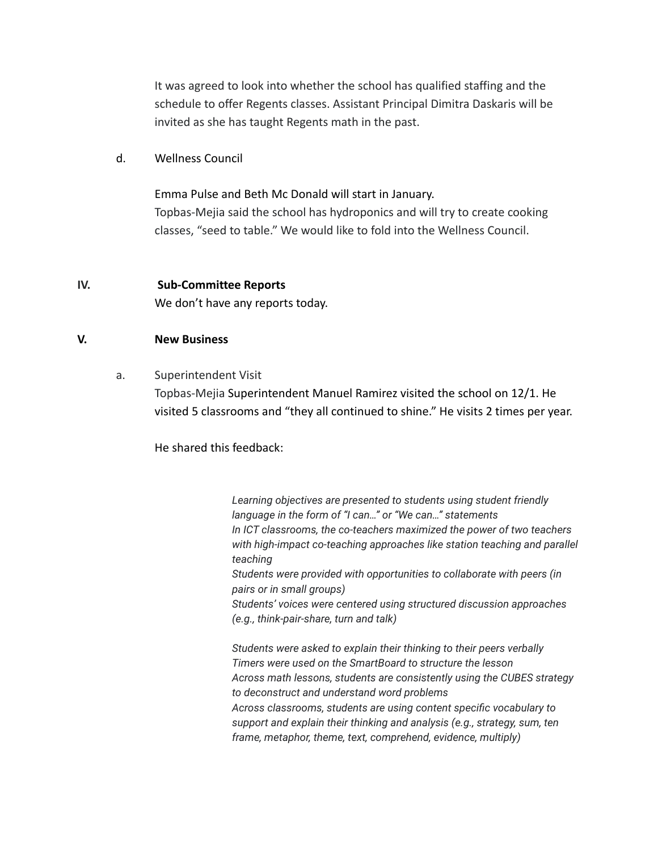It was agreed to look into whether the school has qualified staffing and the schedule to offer Regents classes. Assistant Principal Dimitra Daskaris will be invited as she has taught Regents math in the past.

### d. Wellness Council

Emma Pulse and Beth Mc Donald will start in January. Topbas-Mejia said the school has hydroponics and will try to create cooking classes, "seed to table." We would like to fold into the Wellness Council.

#### **IV. Sub-Committee Reports**

We don't have any reports today.

#### **V. New Business**

a. Superintendent Visit

Topbas-Mejia Superintendent Manuel Ramirez visited the school on 12/1. He visited 5 classrooms and "they all continued to shine." He visits 2 times per year.

He shared this feedback:

*Learning objectives are presented to students using student friendly language in the form of "I can…" or "We can…" statements In ICT classrooms, the co-teachers maximized the power of two teachers with high-impact co-teaching approaches like station teaching and parallel teaching Students were provided with opportunities to collaborate with peers (in pairs or in small groups) Students' voices were centered using structured discussion approaches (e.g., think-pair-share, turn and talk) Students were asked to explain their thinking to their peers verbally*

*Timers were used on the SmartBoard to structure the lesson Across math lessons, students are consistently using the CUBES strategy to deconstruct and understand word problems Across classrooms, students are using content specific vocabulary to support and explain their thinking and analysis (e.g., strategy, sum, ten frame, metaphor, theme, text, comprehend, evidence, multiply)*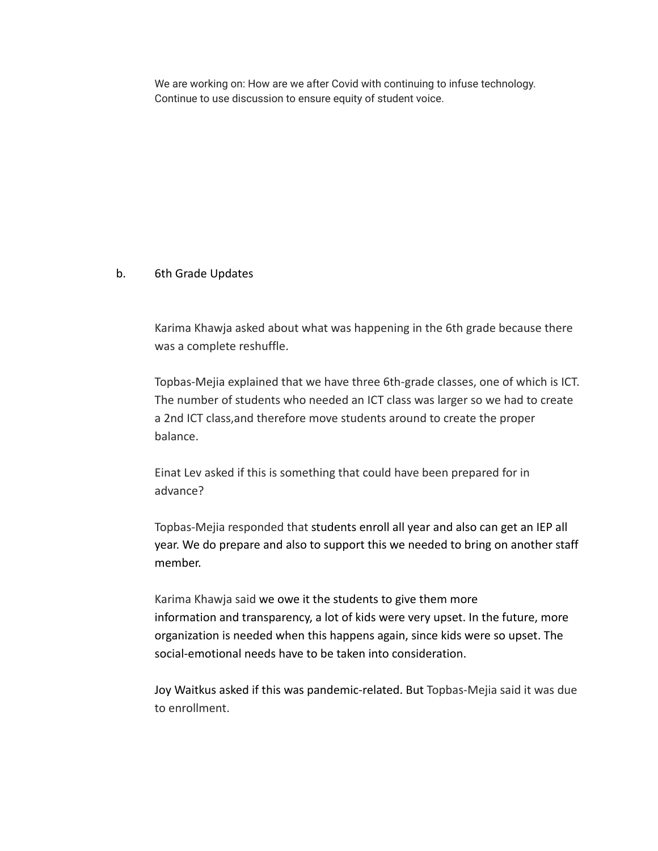We are working on: How are we after Covid with continuing to infuse technology. Continue to use discussion to ensure equity of student voice.

## b. 6th Grade Updates

Karima Khawja asked about what was happening in the 6th grade because there was a complete reshuffle.

Topbas-Mejia explained that we have three 6th-grade classes, one of which is ICT. The number of students who needed an ICT class was larger so we had to create a 2nd ICT class,and therefore move students around to create the proper balance.

Einat Lev asked if this is something that could have been prepared for in advance?

Topbas-Mejia responded that students enroll all year and also can get an IEP all year. We do prepare and also to support this we needed to bring on another staff member.

Karima Khawja said we owe it the students to give them more information and transparency, a lot of kids were very upset. In the future, more organization is needed when this happens again, since kids were so upset. The social-emotional needs have to be taken into consideration.

Joy Waitkus asked if this was pandemic-related. But Topbas-Mejia said it was due to enrollment.